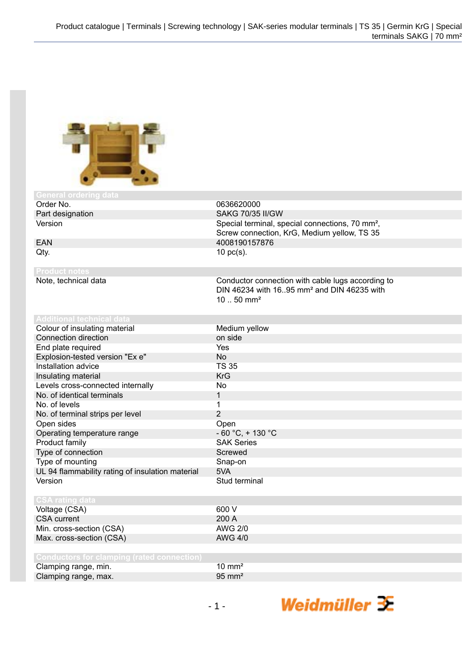

| <b>General ordering data</b>                      |                                                             |
|---------------------------------------------------|-------------------------------------------------------------|
| Order No.                                         | 0636620000                                                  |
| Part designation                                  | <b>SAKG 70/35 II/GW</b>                                     |
| Version                                           | Special terminal, special connections, 70 mm <sup>2</sup> , |
|                                                   | Screw connection, KrG, Medium yellow, TS 35                 |
| <b>EAN</b>                                        | 4008190157876                                               |
| Qty.                                              | $10$ pc(s).                                                 |
|                                                   |                                                             |
| <b>Product notes</b>                              |                                                             |
| Note, technical data                              | Conductor connection with cable lugs according to           |
|                                                   | DIN 46234 with 16.95 mm <sup>2</sup> and DIN 46235 with     |
|                                                   | $1050$ mm <sup>2</sup>                                      |
|                                                   |                                                             |
| <b>Additional technical data</b>                  |                                                             |
| Colour of insulating material                     | Medium yellow                                               |
| <b>Connection direction</b>                       | on side                                                     |
| End plate required                                | Yes                                                         |
| Explosion-tested version "Ex e"                   | <b>No</b>                                                   |
| Installation advice                               | <b>TS 35</b>                                                |
| Insulating material                               | <b>KrG</b>                                                  |
| Levels cross-connected internally                 | No                                                          |
| No. of identical terminals                        | 1                                                           |
| No. of levels                                     | 1                                                           |
| No. of terminal strips per level                  | $\overline{2}$                                              |
| Open sides                                        | Open                                                        |
| Operating temperature range                       | $-60 °C$ , $+130 °C$                                        |
| Product family                                    | <b>SAK Series</b>                                           |
| Type of connection                                | Screwed                                                     |
| Type of mounting                                  | Snap-on                                                     |
| UL 94 flammability rating of insulation material  | 5VA                                                         |
| Version                                           | Stud terminal                                               |
|                                                   |                                                             |
| <b>CSA rating data</b>                            |                                                             |
| Voltage (CSA)                                     | 600 V                                                       |
| <b>CSA</b> current                                | 200 A                                                       |
| Min. cross-section (CSA)                          | <b>AWG 2/0</b>                                              |
| Max. cross-section (CSA)                          | <b>AWG 4/0</b>                                              |
|                                                   |                                                             |
| <b>Conductors for clamping (rated connection)</b> |                                                             |
| Clamping range, min.                              | $10 \text{ mm}^2$                                           |
| Clamping range, max.                              | $95 \text{ mm}^2$                                           |

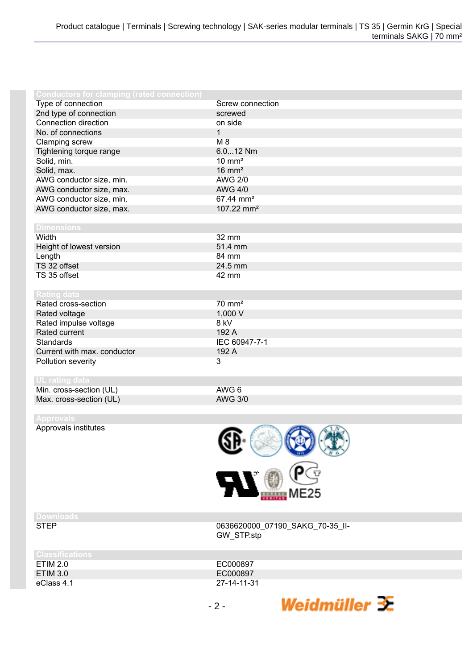| <b>Conductors for clamping (rated connection)</b> |                        |
|---------------------------------------------------|------------------------|
| Type of connection                                | Screw connection       |
| 2nd type of connection                            | screwed                |
| Connection direction                              | on side                |
| No. of connections                                | $\overline{1}$         |
| Clamping screw                                    | $M_8$                  |
| Tightening torque range                           | 6.012 Nm               |
| Solid, min.                                       | $10 \text{ mm}^2$      |
| Solid, max.                                       | $16 \text{ mm}^2$      |
| AWG conductor size, min.                          | <b>AWG 2/0</b>         |
| AWG conductor size, max.                          | <b>AWG 4/0</b>         |
| AWG conductor size, min.                          | 67.44 mm <sup>2</sup>  |
| AWG conductor size, max.                          | 107.22 mm <sup>2</sup> |
|                                                   |                        |
| <b>Dimensions</b>                                 |                        |
| Width                                             | 32 mm                  |
| Height of lowest version                          | 51.4 mm                |
| Length                                            | 84 mm                  |
| TS 32 offset                                      | 24.5 mm                |
| TS 35 offset                                      | 42 mm                  |
|                                                   |                        |
| <b>Rating data</b>                                |                        |
| Rated cross-section                               | $70 \text{ mm}^2$      |
| Rated voltage                                     | 1,000 V                |
| Rated impulse voltage                             | 8 kV                   |
| Rated current                                     | 192 A                  |
| <b>Standards</b>                                  | IEC 60947-7-1          |
| Current with max. conductor                       | 192 A                  |
| Pollution severity                                | 3                      |
|                                                   |                        |
| <b>UL</b> rating data                             |                        |
| Min. cross-section (UL)                           | AWG 6                  |
| Max. cross-section (UL)                           | <b>AWG 3/0</b>         |
|                                                   |                        |
| <b>Approvals</b>                                  |                        |
| Approvals institutes                              | AN)                    |



0636620000\_07190\_SAKG\_70-35\_II-

Weidmüller  $\mathcal{\mathcal{F}}$ 

## **Downloads**

| <b>URSSINGANONS</b> |             |
|---------------------|-------------|
| ETIM 2.0            | EC000897    |
| <b>ETIM 3.0</b>     | EC000897    |
| eClass 4.1          | 27-14-11-31 |

GW\_STP.stp